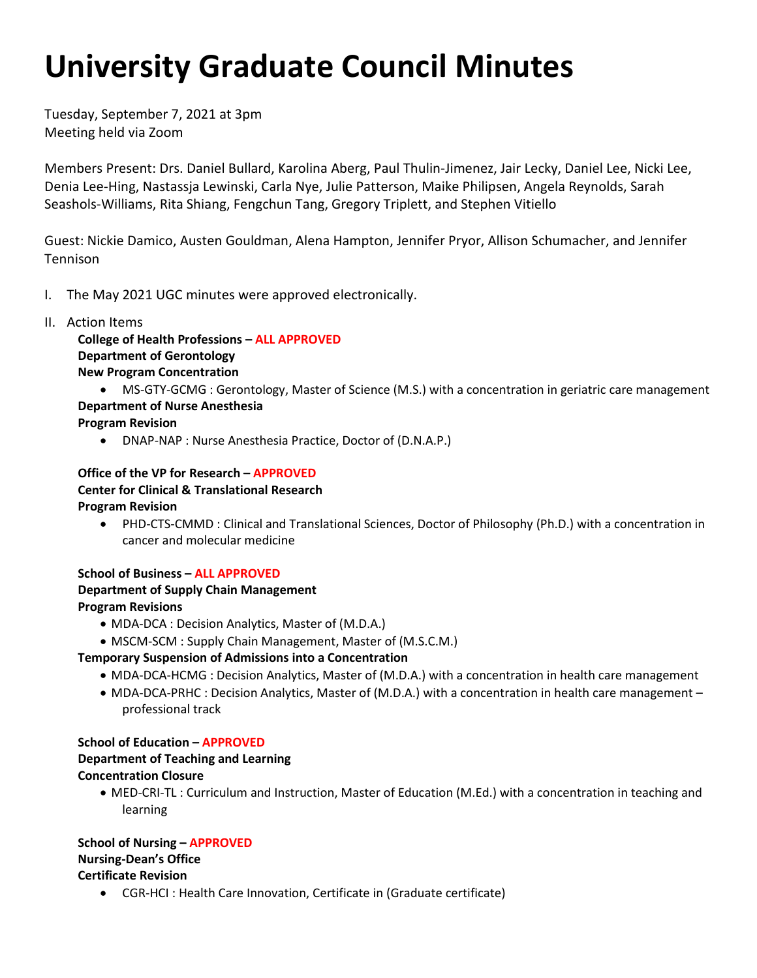# **University Graduate Council Minutes**

Tuesday, September 7, 2021 at 3pm Meeting held via Zoom

 Denia Lee-Hing, Nastassja Lewinski, Carla Nye, Julie Patterson, Maike Philipsen, Angela Reynolds, Sarah Seashols-Williams, Rita Shiang, Fengchun Tang, Gregory Triplett, and Stephen Vitiello Members Present: Drs. Daniel Bullard, Karolina Aberg, Paul Thulin-Jimenez, Jair Lecky, Daniel Lee, Nicki Lee,

 Guest: Nickie Damico, Austen Gouldman, Alena Hampton, Jennifer Pryor, Allison Schumacher, and Jennifer Tennison

- I. The May 2021 UGC minutes were approved electronically.
- II. Action Items

 **College of Health Professions – ALL APPROVED Department of Gerontology New Program Concentration** 

 **Department of Nurse Anesthesia**  • MS-GTY-GCMG : Gerontology, Master of Science (M.S.) with a concentration in geriatric care management

**Program Revision** 

• DNAP-NAP : Nurse Anesthesia Practice, Doctor of (D.N.A.P.)

 **Office of the VP for Research – APPROVED Center for Clinical & Translational Research Program Revision** 

• PHD-CTS-CMMD : Clinical and Translational Sciences, Doctor of Philosophy (Ph.D.) with a concentration in cancer and molecular medicine

# **School of Business – ALL APPROVED**

# **Department of Supply Chain Management Program Revisions**

- MDA-DCA : Decision Analytics, Master of (M.D.A.)
- MSCM-SCM : Supply Chain Management, Master of (M.S.C.M.)

# **Temporary Suspension of Admissions into a Concentration**

- MDA-DCA-HCMG : Decision Analytics, Master of (M.D.A.) with a concentration in health care management
- • MDA-DCA-PRHC : Decision Analytics, Master of (M.D.A.) with a concentration in health care management professional track

# **School of Education – APPROVED**

#### **Department of Teaching and Learning Concentration Closure**

 • MED-CRI-TL : Curriculum and Instruction, Master of Education (M.Ed.) with a concentration in teaching and learning

 **School of Nursing – APPROVED Nursing-Dean's Office Certificate Revision** 

• CGR-HCI : Health Care Innovation, Certificate in (Graduate certificate)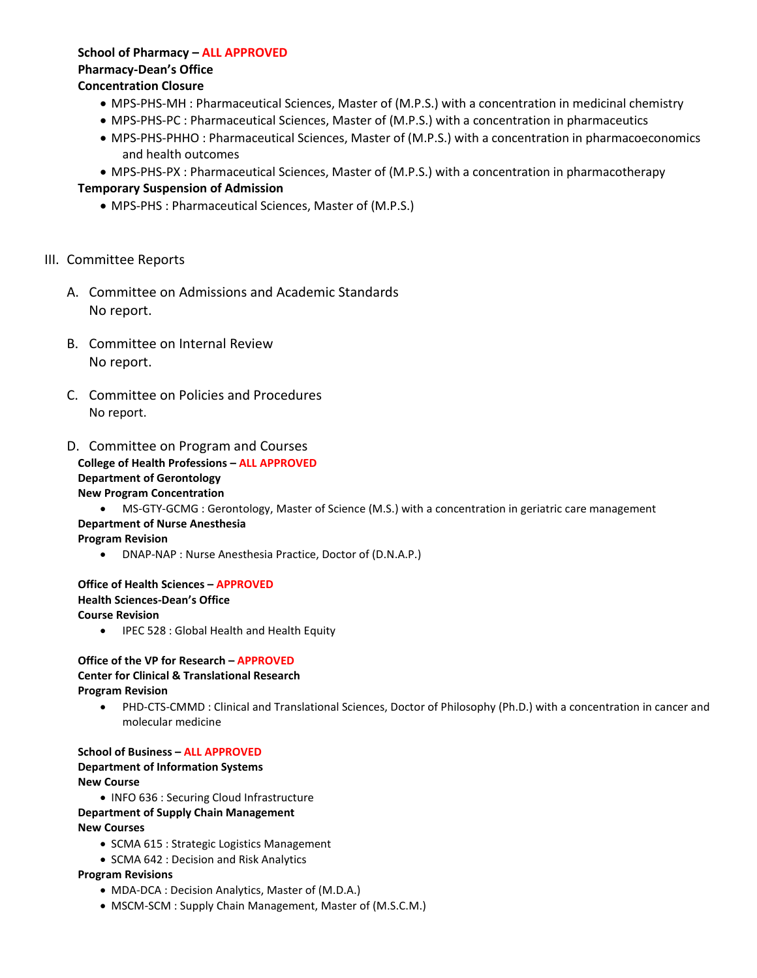# **School of Pharmacy – ALL APPROVED Pharmacy-Dean's Office**

#### **Concentration Closure**

- MPS-PHS-MH : Pharmaceutical Sciences, Master of (M.P.S.) with a concentration in medicinal chemistry
- MPS-PHS-PC : Pharmaceutical Sciences, Master of (M.P.S.) with a concentration in pharmaceutics
- • MPS-PHS-PHHO : Pharmaceutical Sciences, Master of (M.P.S.) with a concentration in pharmacoeconomics and health outcomes
- MPS-PHS-PX : Pharmaceutical Sciences, Master of (M.P.S.) with a concentration in pharmacotherapy

# **Temporary Suspension of Admission**

• MPS-PHS : Pharmaceutical Sciences, Master of (M.P.S.)

#### III. Committee Reports

- A. Committee on Admissions and Academic Standards No report.
- B. Committee on Internal Review No report.
- C. Committee on Policies and Procedures No report.

### D. Committee on Program and Courses

#### **College of Health Professions – ALL APPROVED Department of Gerontology**

#### **New Program Concentration**

• MS-GTY-GCMG : Gerontology, Master of Science (M.S.) with a concentration in geriatric care management

#### **Department of Nurse Anesthesia**

**Program Revision** 

• DNAP-NAP : Nurse Anesthesia Practice, Doctor of (D.N.A.P.)

#### **Office of Health Sciences – APPROVED Health Sciences-Dean's Office Course Revision**

• IPEC 528 : Global Health and Health Equity

#### **Office of the VP for Research – APPROVED Center for Clinical & Translational Research Program Revision**

• PHD-CTS-CMMD : Clinical and Translational Sciences, Doctor of Philosophy (Ph.D.) with a concentration in cancer and molecular medicine

 **School of Business – ALL APPROVED Department of Information Systems New Course** 

• INFO 636 : Securing Cloud Infrastructure

#### **Department of Supply Chain Management**

#### **New Courses**

- SCMA 615 : Strategic Logistics Management
- SCMA 642 : Decision and Risk Analytics

#### **Program Revisions**

- MDA-DCA : Decision Analytics, Master of (M.D.A.)
- MSCM-SCM : Supply Chain Management, Master of (M.S.C.M.)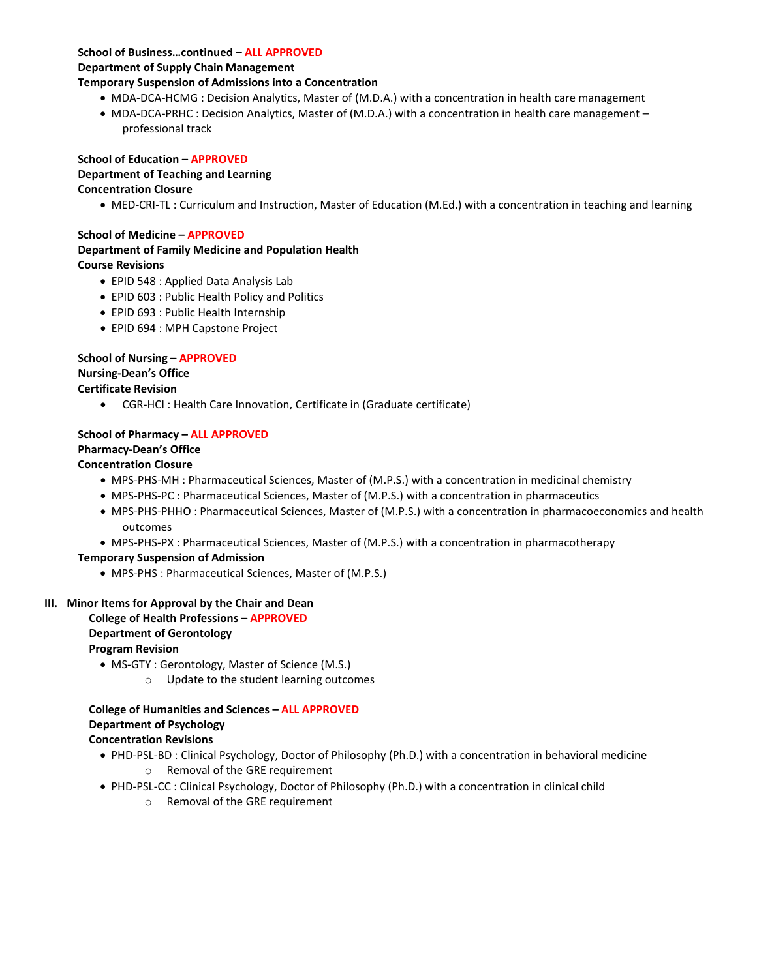#### **School of Business…continued – ALL APPROVED**

# **Department of Supply Chain Management**

# **Temporary Suspension of Admissions into a Concentration**

- MDA-DCA-HCMG : Decision Analytics, Master of (M.D.A.) with a concentration in health care management
- MDA-DCA-PRHC : Decision Analytics, Master of (M.D.A.) with a concentration in health care management professional track

# **School of Education – APPROVED**

# **Department of Teaching and Learning**

# **Concentration Closure**

• MED-CRI-TL : Curriculum and Instruction, Master of Education (M.Ed.) with a concentration in teaching and learning

# **School of Medicine – APPROVED**

#### **Department of Family Medicine and Population Health Course Revisions**

- EPID 548 : Applied Data Analysis Lab
- EPID 603 : Public Health Policy and Politics
- EPID 693 : Public Health Internship
- EPID 694 : MPH Capstone Project

# **School of Nursing – APPROVED**

# **Nursing-Dean's Office**

# **Certificate Revision**

• CGR-HCI : Health Care Innovation, Certificate in (Graduate certificate)

# **School of Pharmacy – ALL APPROVED**

# **Pharmacy-Dean's Office**

# **Concentration Closure**

- MPS-PHS-MH : Pharmaceutical Sciences, Master of (M.P.S.) with a concentration in medicinal chemistry
- MPS-PHS-PC : Pharmaceutical Sciences, Master of (M.P.S.) with a concentration in pharmaceutics
- MPS-PHS-PHHO : Pharmaceutical Sciences, Master of (M.P.S.) with a concentration in pharmacoeconomics and health outcomes
- MPS-PHS-PX : Pharmaceutical Sciences, Master of (M.P.S.) with a concentration in pharmacotherapy

# **Temporary Suspension of Admission**

• MPS-PHS : Pharmaceutical Sciences, Master of (M.P.S.)

#### **III. Minor Items for Approval by the Chair and Dean College of Health Professions – APPROVED Department of Gerontology**

# **Program Revision**

- MS-GTY : Gerontology, Master of Science (M.S.)
	- o Update to the student learning outcomes

#### **College of Humanities and Sciences – ALL APPROVED Department of Psychology Concentration Revisions**

- PHD-PSL-BD : Clinical Psychology, Doctor of Philosophy (Ph.D.) with a concentration in behavioral medicine o Removal of the GRE requirement
- PHD-PSL-CC : Clinical Psychology, Doctor of Philosophy (Ph.D.) with a concentration in clinical child
	- o Removal of the GRE requirement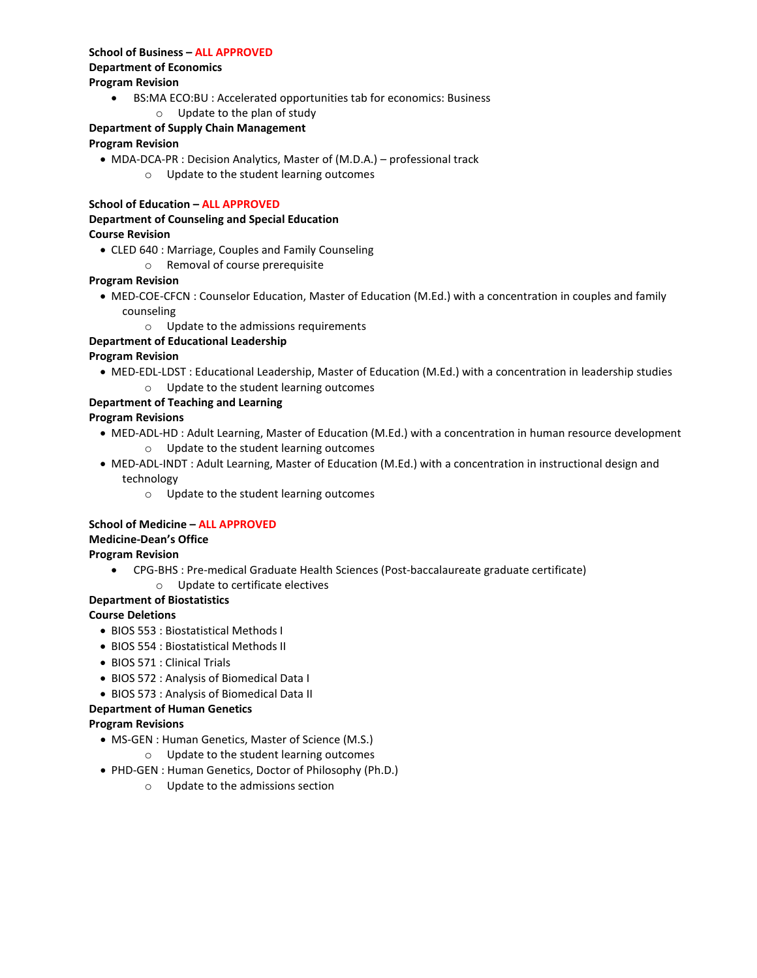#### **School of Business – ALL APPROVED Department of Economics Program Revision**

- BS:MA ECO:BU : Accelerated opportunities tab for economics: Business
	- o Update to the plan of study

# **Department of Supply Chain Management**

### **Program Revision**

• MDA-DCA-PR : Decision Analytics, Master of (M.D.A.) – professional track o Update to the student learning outcomes

#### **School of Education – ALL APPROVED**

# **Department of Counseling and Special Education Course Revision**

- CLED 640 : Marriage, Couples and Family Counseling
	- o Removal of course prerequisite

#### **Program Revision**

- MED-COE-CFCN : Counselor Education, Master of Education (M.Ed.) with a concentration in couples and family counseling
	- o Update to the admissions requirements

#### **Department of Educational Leadership**

#### **Program Revision**

• MED-EDL-LDST : Educational Leadership, Master of Education (M.Ed.) with a concentration in leadership studies o Update to the student learning outcomes

#### **Department of Teaching and Learning**

#### **Program Revisions**

- MED-ADL-HD : Adult Learning, Master of Education (M.Ed.) with a concentration in human resource development o Update to the student learning outcomes
- MED-ADL-INDT : Adult Learning, Master of Education (M.Ed.) with a concentration in instructional design and technology
	- o Update to the student learning outcomes

#### **School of Medicine – ALL APPROVED**

#### **Medicine-Dean's Office**

#### **Program Revision**

• CPG-BHS : Pre-medical Graduate Health Sciences (Post-baccalaureate graduate certificate)

#### o Update to certificate electives

### **Department of Biostatistics**

#### **Course Deletions**

- BIOS 553 : Biostatistical Methods I
- BIOS 554 : Biostatistical Methods II
- BIOS 571 : Clinical Trials
- BIOS 572 : Analysis of Biomedical Data I
- BIOS 573 : Analysis of Biomedical Data II

#### **Department of Human Genetics**

#### **Program Revisions**

- MS-GEN : Human Genetics, Master of Science (M.S.)
	- o Update to the student learning outcomes
- PHD-GEN : Human Genetics, Doctor of Philosophy (Ph.D.)
	- o Update to the admissions section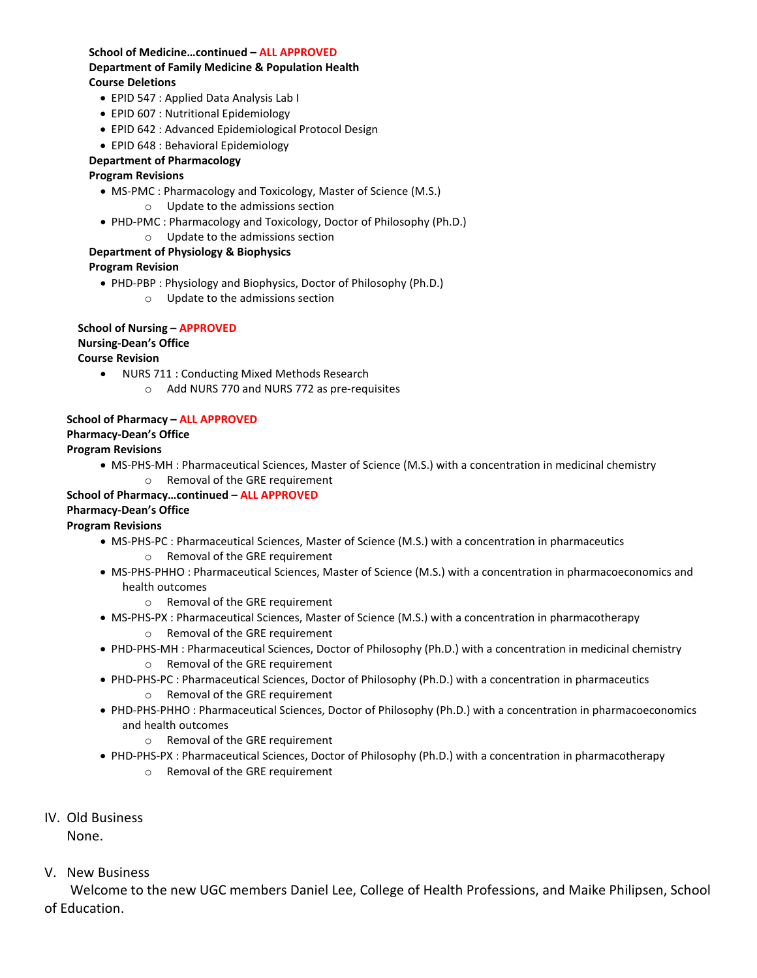#### **School of Medicine…continued – ALL APPROVED Department of Family Medicine & Population Health Course Deletions**

- EPID 547 : Applied Data Analysis Lab I
- EPID 607 : Nutritional Epidemiology
- EPID 642 : Advanced Epidemiological Protocol Design
- EPID 648 : Behavioral Epidemiology

#### **Department of Pharmacology**

#### **Program Revisions**

- MS-PMC : Pharmacology and Toxicology, Master of Science (M.S.)
	- o Update to the admissions section
- PHD-PMC : Pharmacology and Toxicology, Doctor of Philosophy (Ph.D.)
	- o Update to the admissions section

#### **Department of Physiology & Biophysics**

#### **Program Revision**

• PHD-PBP : Physiology and Biophysics, Doctor of Philosophy (Ph.D.) o Update to the admissions section

### **School of Nursing – APPROVED**

# **Nursing-Dean's Office**

#### **Course Revision**

- NURS 711 : Conducting Mixed Methods Research
	- o Add NURS 770 and NURS 772 as pre-requisites

#### **School of Pharmacy – ALL APPROVED Pharmacy-Dean's Office**

#### **Program Revisions**

- MS-PHS-MH : Pharmaceutical Sciences, Master of Science (M.S.) with a concentration in medicinal chemistry
	- o Removal of the GRE requirement

#### **School of Pharmacy…continued – ALL APPROVED Pharmacy-Dean's Office**

#### **Program Revisions**

- MS-PHS-PC : Pharmaceutical Sciences, Master of Science (M.S.) with a concentration in pharmaceutics o Removal of the GRE requirement
- MS-PHS-PHHO : Pharmaceutical Sciences, Master of Science (M.S.) with a concentration in pharmacoeconomics and health outcomes
	- o Removal of the GRE requirement
- MS-PHS-PX : Pharmaceutical Sciences, Master of Science (M.S.) with a concentration in pharmacotherapy o Removal of the GRE requirement
- PHD-PHS-MH : Pharmaceutical Sciences, Doctor of Philosophy (Ph.D.) with a concentration in medicinal chemistry o Removal of the GRE requirement
- PHD-PHS-PC : Pharmaceutical Sciences, Doctor of Philosophy (Ph.D.) with a concentration in pharmaceutics o Removal of the GRE requirement
- PHD-PHS-PHHO : Pharmaceutical Sciences, Doctor of Philosophy (Ph.D.) with a concentration in pharmacoeconomics and health outcomes
	- o Removal of the GRE requirement
- PHD-PHS-PX : Pharmaceutical Sciences, Doctor of Philosophy (Ph.D.) with a concentration in pharmacotherapy o Removal of the GRE requirement
- IV. Old Business

None.

V. New Business

Welcome to the new UGC members Daniel Lee, College of Health Professions, and Maike Philipsen, School of Education.